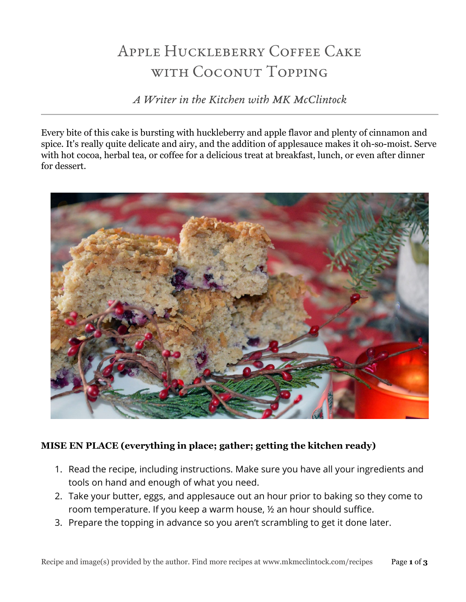# Apple Huckleberry Coffee Cake with Coconut Topping

*A Writer in the Kitchen with MK McClintock*

Every bite of this cake is bursting with huckleberry and apple flavor and plenty of cinnamon and spice. It's really quite delicate and airy, and the addition of applesauce makes it oh-so-moist. Serve with hot cocoa, herbal tea, or coffee for a delicious treat at breakfast, lunch, or even after dinner for dessert.



# **MISE EN PLACE (everything in place; gather; getting the kitchen ready)**

- 1. Read the recipe, including instructions. Make sure you have all your ingredients and tools on hand and enough of what you need.
- 2. Take your butter, eggs, and applesauce out an hour prior to baking so they come to room temperature. If you keep a warm house, ½ an hour should suffice.
- 3. Prepare the topping in advance so you aren't scrambling to get it done later.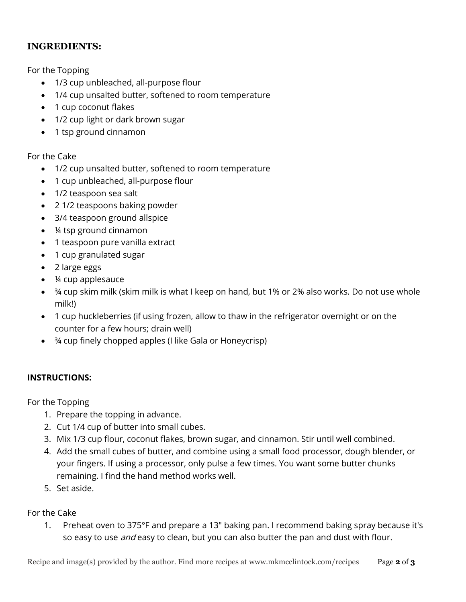## **INGREDIENTS:**

For the Topping

- 1/3 cup unbleached, all-purpose flour
- 1/4 cup unsalted butter, softened to room temperature
- 1 cup coconut flakes
- 1/2 cup light or dark brown sugar
- 1 tsp ground cinnamon

#### For the Cake

- 1/2 cup unsalted butter, softened to room temperature
- 1 cup unbleached, all-purpose flour
- 1/2 teaspoon sea salt
- 2 1/2 teaspoons baking powder
- 3/4 teaspoon ground allspice
- ¼ tsp ground cinnamon
- 1 teaspoon pure vanilla extract
- 1 cup granulated sugar
- 2 large eggs
- ¼ cup applesauce
- <sup>3</sup>4 cup skim milk (skim milk is what I keep on hand, but 1% or 2% also works. Do not use whole milk!)
- 1 cup huckleberries (if using frozen, allow to thaw in the refrigerator overnight or on the counter for a few hours; drain well)
- ¾ cup finely chopped apples (I like Gala or Honeycrisp)

#### **INSTRUCTIONS:**

For the Topping

- 1. Prepare the topping in advance.
- 2. Cut 1/4 cup of butter into small cubes.
- 3. Mix 1/3 cup flour, coconut flakes, brown sugar, and cinnamon. Stir until well combined.
- 4. Add the small cubes of butter, and combine using a small food processor, dough blender, or your fingers. If using a processor, only pulse a few times. You want some butter chunks remaining. I find the hand method works well.
- 5. Set aside.

#### For the Cake

1. Preheat oven to 375°F and prepare a 13" baking pan. I recommend baking spray because it's so easy to use *and* easy to clean, but you can also butter the pan and dust with flour.